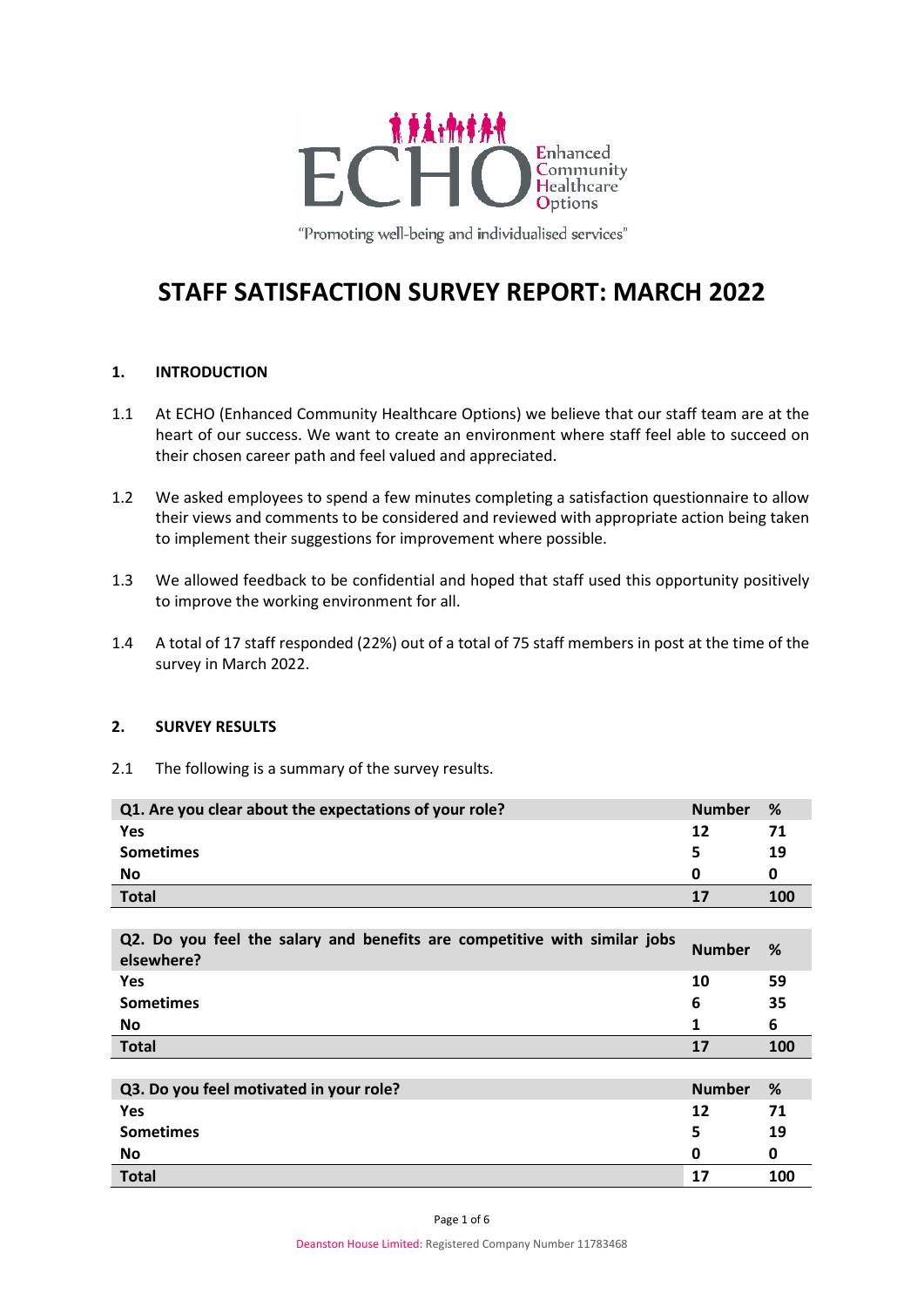

"Promoting well-being and individualised services"

# **STAFF SATISFACTION SURVEY REPORT: MARCH 2022**

# **1. INTRODUCTION**

- 1.1 At ECHO (Enhanced Community Healthcare Options) we believe that our staff team are at the heart of our success. We want to create an environment where staff feel able to succeed on their chosen career path and feel valued and appreciated.
- 1.2 We asked employees to spend a few minutes completing a satisfaction questionnaire to allow their views and comments to be considered and reviewed with appropriate action being taken to implement their suggestions for improvement where possible.
- 1.3 We allowed feedback to be confidential and hoped that staff used this opportunity positively to improve the working environment for all.
- 1.4 A total of 17 staff responded (22%) out of a total of 75 staff members in post at the time of the survey in March 2022.

## **2. SURVEY RESULTS**

2.1 The following is a summary of the survey results.

| Q1. Are you clear about the expectations of your role?                                  | <b>Number</b> | %   |
|-----------------------------------------------------------------------------------------|---------------|-----|
| Yes                                                                                     | 12            | 71  |
| <b>Sometimes</b>                                                                        | 5             | 19  |
| No                                                                                      | 0             | 0   |
| <b>Total</b>                                                                            | 17            | 100 |
|                                                                                         |               |     |
| Q2. Do you feel the salary and benefits are competitive with similar jobs<br>elsewhere? | <b>Number</b> | %   |
| Yes                                                                                     | 10            | 59  |
| <b>Sometimes</b>                                                                        | 6             | 35  |
| <b>No</b>                                                                               | 1             | 6   |
| <b>Total</b>                                                                            | 17            | 100 |
|                                                                                         |               |     |
| Q3. Do you feel motivated in your role?                                                 | <b>Number</b> | %   |
| Yes                                                                                     | 12            | 71  |
| <b>Sometimes</b>                                                                        | 5             | 19  |
| No                                                                                      | 0             | 0   |
| <b>Total</b>                                                                            | 17            | 100 |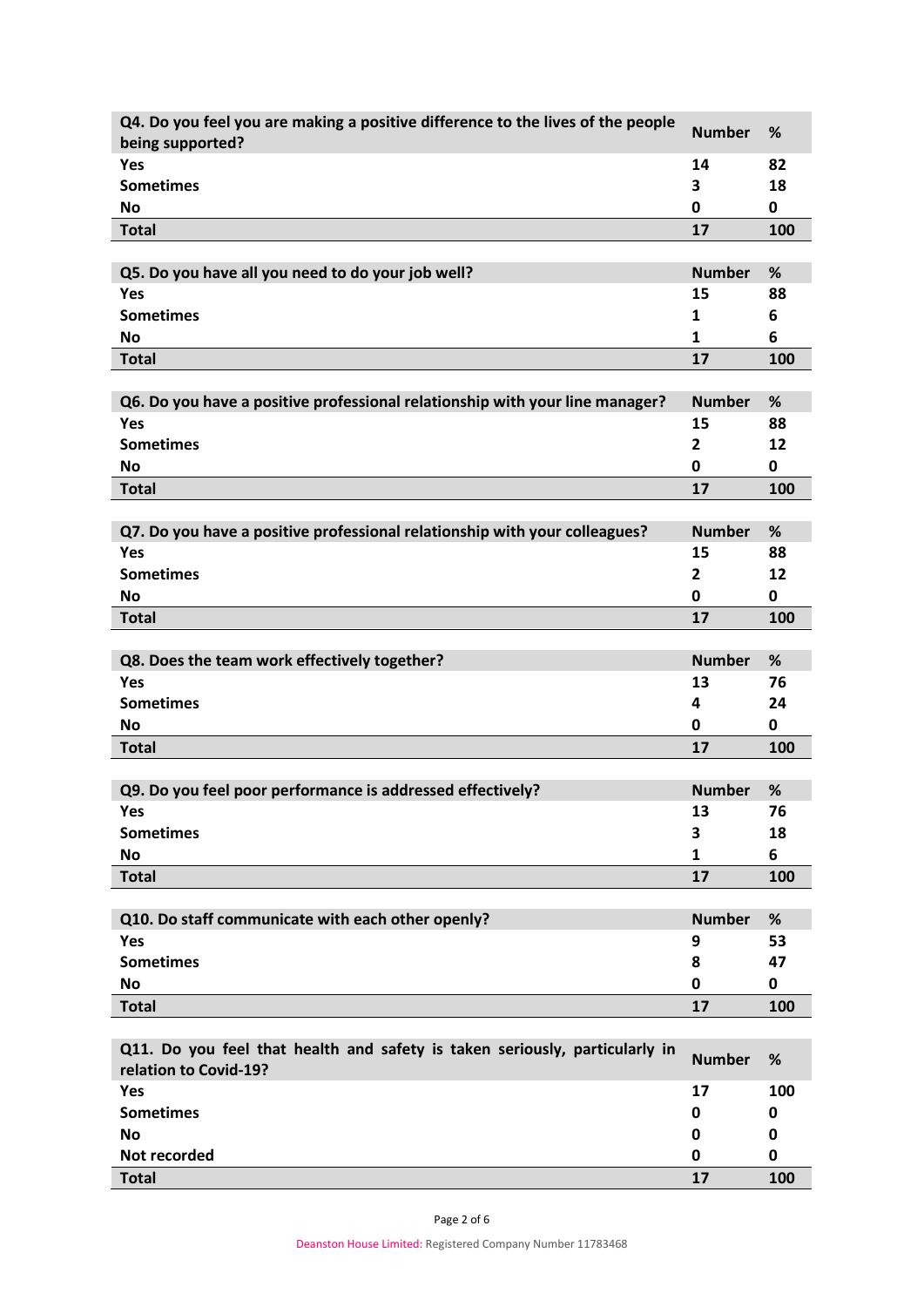| Q4. Do you feel you are making a positive difference to the lives of the people | <b>Number</b> | %           |
|---------------------------------------------------------------------------------|---------------|-------------|
| being supported?                                                                |               |             |
| Yes                                                                             | 14            | 82          |
| <b>Sometimes</b>                                                                | 3             | 18          |
| <b>No</b>                                                                       | 0             | 0           |
| <b>Total</b>                                                                    | 17            | 100         |
|                                                                                 |               |             |
| Q5. Do you have all you need to do your job well?                               | <b>Number</b> | %           |
| Yes                                                                             | 15            | 88          |
| <b>Sometimes</b>                                                                | 1             | 6           |
| No                                                                              | 1             | 6           |
| <b>Total</b>                                                                    | 17            | 100         |
|                                                                                 |               |             |
| Q6. Do you have a positive professional relationship with your line manager?    | <b>Number</b> | %           |
| Yes                                                                             | 15            | 88          |
| <b>Sometimes</b>                                                                | $\mathbf{2}$  | 12          |
| No                                                                              | 0             | $\mathbf 0$ |
| <b>Total</b>                                                                    | 17            | 100         |
|                                                                                 |               |             |
| Q7. Do you have a positive professional relationship with your colleagues?      | <b>Number</b> | %           |
| Yes                                                                             | 15            | 88          |
| <b>Sometimes</b>                                                                |               |             |
|                                                                                 | $\mathbf{2}$  | 12          |
| <b>No</b>                                                                       | 0             | 0           |
| <b>Total</b>                                                                    | 17            | 100         |
|                                                                                 |               |             |
| Q8. Does the team work effectively together?                                    | <b>Number</b> | %           |
| Yes                                                                             | 13            | 76          |
| <b>Sometimes</b>                                                                | 4             | 24          |
| <b>No</b>                                                                       | 0             | 0           |
| <b>Total</b>                                                                    | 17            | 100         |
|                                                                                 |               |             |
| Q9. Do you feel poor performance is addressed effectively?                      | <b>Number</b> | %           |
| Yes                                                                             | 13            | 76          |
| <b>Sometimes</b>                                                                | 3             | 18          |
| <b>No</b>                                                                       | 1             | 6           |
| <b>Total</b>                                                                    | 17            | 100         |
|                                                                                 |               |             |
| Q10. Do staff communicate with each other openly?                               | <b>Number</b> | %           |
| Yes                                                                             | 9             | 53          |
| <b>Sometimes</b>                                                                | 8             | 47          |
| No                                                                              | 0             | 0           |
| <b>Total</b>                                                                    | 17            | 100         |
|                                                                                 |               |             |
| Q11. Do you feel that health and safety is taken seriously, particularly in     |               |             |
| relation to Covid-19?                                                           | <b>Number</b> | %           |
| Yes                                                                             | 17            | 100         |
| <b>Sometimes</b>                                                                | 0             | 0           |
| No                                                                              | 0             | 0           |
| Not recorded                                                                    | 0             | 0           |
|                                                                                 | 17            |             |
| <b>Total</b>                                                                    |               | 100         |

Page 2 of 6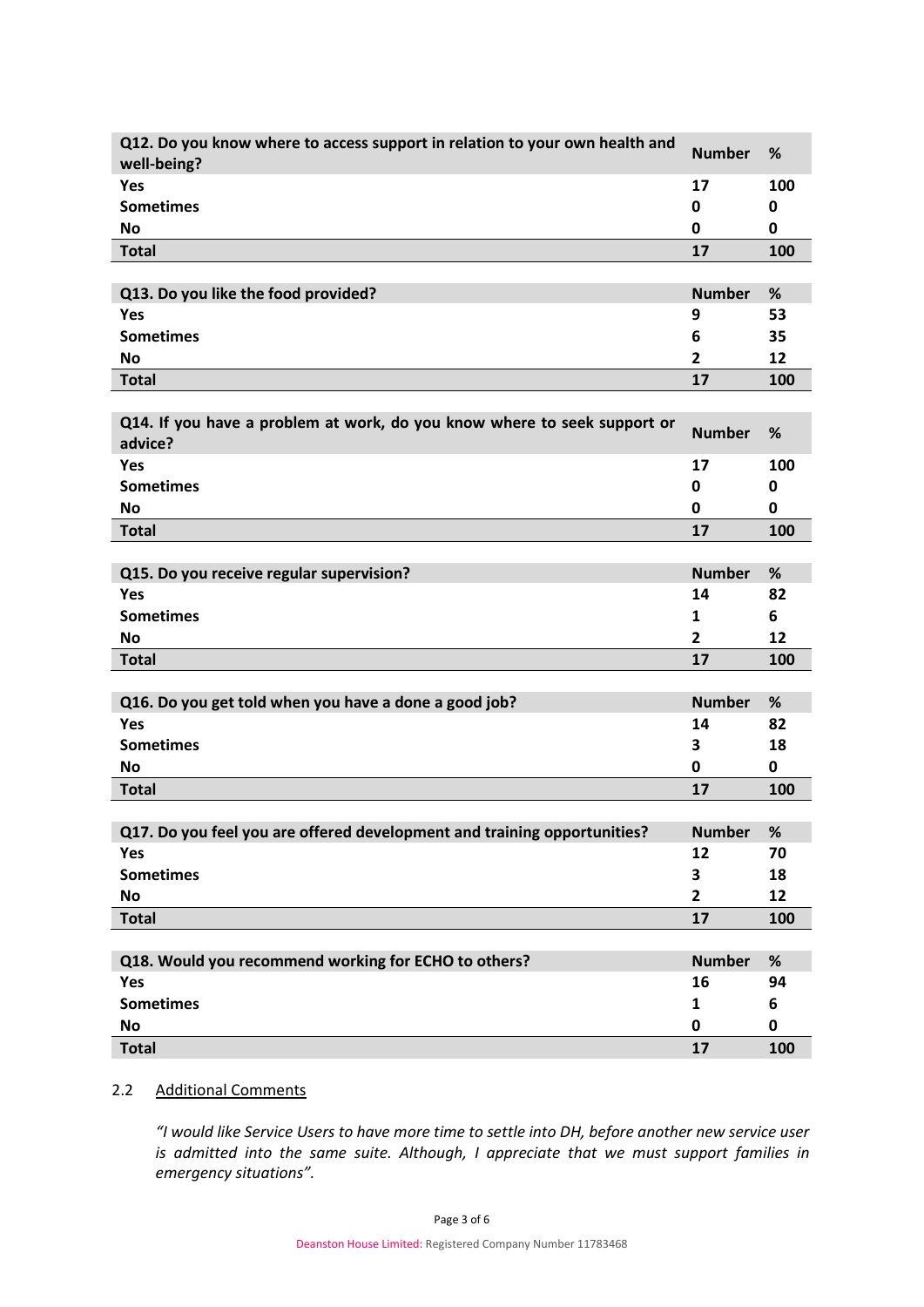| Q12. Do you know where to access support in relation to your own health and<br>well-being? | <b>Number</b>  | %    |
|--------------------------------------------------------------------------------------------|----------------|------|
| Yes                                                                                        | 17             | 100  |
| <b>Sometimes</b>                                                                           | 0              | 0    |
| <b>No</b>                                                                                  | 0              | 0    |
| <b>Total</b>                                                                               | 17             | 100  |
|                                                                                            |                |      |
| Q13. Do you like the food provided?                                                        | <b>Number</b>  | %    |
| Yes                                                                                        | 9              | 53   |
| <b>Sometimes</b>                                                                           | 6              | 35   |
| <b>No</b>                                                                                  | $\overline{2}$ | 12   |
| <b>Total</b>                                                                               | 17             | 100  |
|                                                                                            |                |      |
| Q14. If you have a problem at work, do you know where to seek support or<br>advice?        | <b>Number</b>  | %    |
| Yes                                                                                        | 17             | 100  |
| <b>Sometimes</b>                                                                           | 0              | 0    |
| <b>No</b>                                                                                  | 0              | 0    |
| <b>Total</b>                                                                               | 17             | 100  |
|                                                                                            |                |      |
| Q15. Do you receive regular supervision?                                                   | <b>Number</b>  | %    |
| Yes                                                                                        | 14             | 82   |
| <b>Sometimes</b>                                                                           | 1              | 6    |
| <b>No</b>                                                                                  | $\overline{2}$ | 12   |
| <b>Total</b>                                                                               | 17             | 100  |
|                                                                                            |                |      |
| Q16. Do you get told when you have a done a good job?                                      | <b>Number</b>  | %    |
| Yes                                                                                        | 14             | 82   |
| <b>Sometimes</b>                                                                           | 3              | 18   |
| <b>No</b>                                                                                  | 0              | 0    |
| <b>Total</b>                                                                               | 17             | 100  |
|                                                                                            |                |      |
| Q17. Do you feel you are offered development and training opportunities?                   | <b>Number</b>  | $\%$ |
| Yes                                                                                        | 12             | 70   |
| <b>Sometimes</b>                                                                           | 3              | 18   |
| <b>No</b>                                                                                  | 2              | 12   |
| <b>Total</b>                                                                               | 17             | 100  |
| Q18. Would you recommend working for ECHO to others?                                       | <b>Number</b>  | $\%$ |
| Yes                                                                                        | 16             | 94   |
| <b>Sometimes</b>                                                                           | 1              | 6    |
| <b>No</b>                                                                                  | 0              | 0    |
| <b>Total</b>                                                                               | 17             | 100  |
|                                                                                            |                |      |

# 2.2 Additional Comments

*"I would like Service Users to have more time to settle into DH, before another new service user is admitted into the same suite. Although, I appreciate that we must support families in emergency situations".*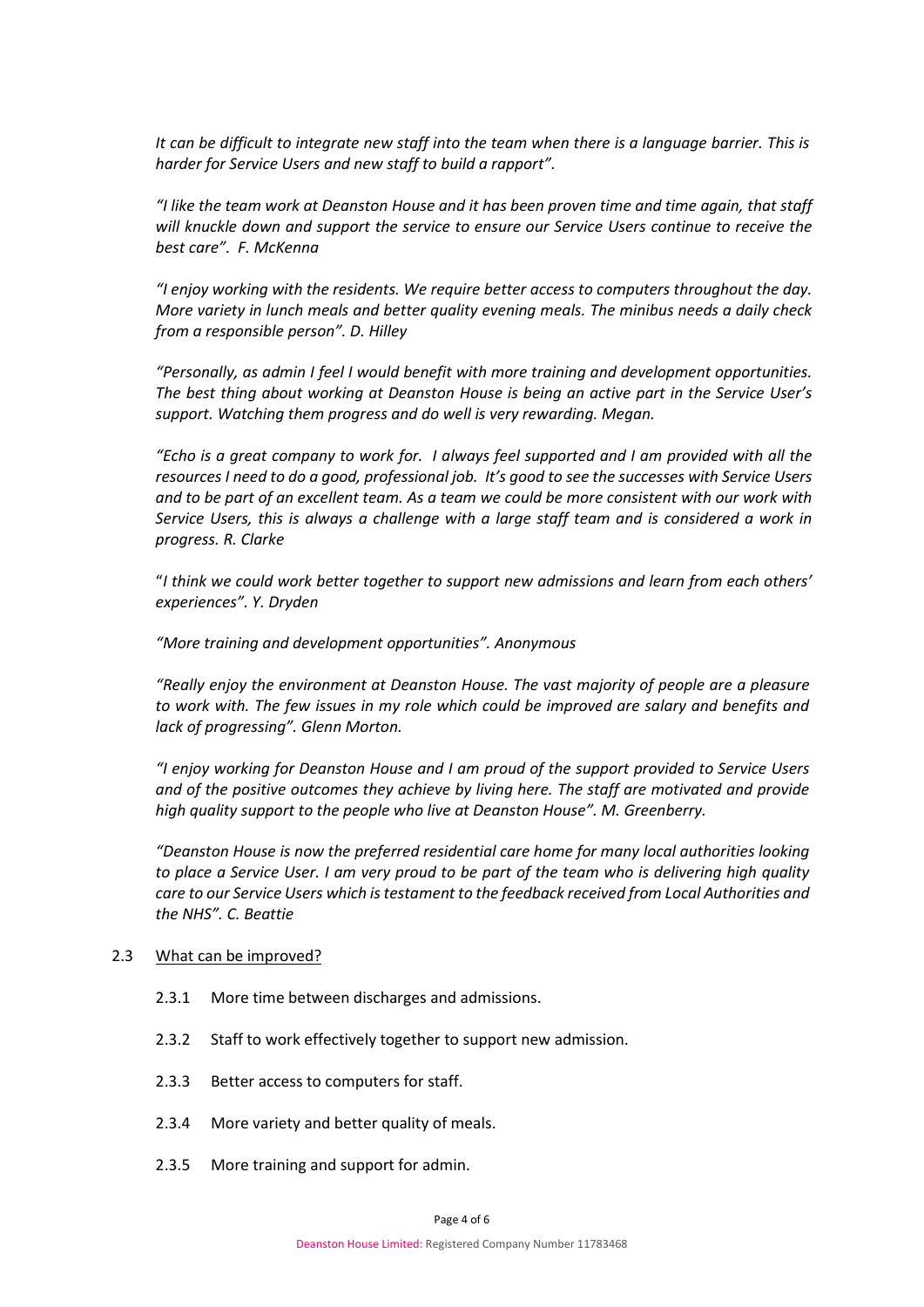*It can be difficult to integrate new staff into the team when there is a language barrier. This is harder for Service Users and new staff to build a rapport".* 

*"I like the team work at Deanston House and it has been proven time and time again, that staff will knuckle down and support the service to ensure our Service Users continue to receive the best care". F. McKenna*

*"I enjoy working with the residents. We require better access to computers throughout the day. More variety in lunch meals and better quality evening meals. The minibus needs a daily check from a responsible person". D. Hilley*

*"Personally, as admin I feel I would benefit with more training and development opportunities. The best thing about working at Deanston House is being an active part in the Service User's support. Watching them progress and do well is very rewarding. Megan.*

*"Echo is a great company to work for. I always feel supported and I am provided with all the resources I need to do a good, professional job. It's good to see the successes with Service Users and to be part of an excellent team. As a team we could be more consistent with our work with Service Users, this is always a challenge with a large staff team and is considered a work in progress. R. Clarke*

"*I think we could work better together to support new admissions and learn from each others' experiences". Y. Dryden*

*"More training and development opportunities". Anonymous*

*"Really enjoy the environment at Deanston House. The vast majority of people are a pleasure to work with. The few issues in my role which could be improved are salary and benefits and lack of progressing". Glenn Morton.*

*"I enjoy working for Deanston House and I am proud of the support provided to Service Users and of the positive outcomes they achieve by living here. The staff are motivated and provide high quality support to the people who live at Deanston House". M. Greenberry.*

*"Deanston House is now the preferred residential care home for many local authorities looking to place a Service User. I am very proud to be part of the team who is delivering high quality care to our Service Users which is testament to the feedback received from Local Authorities and the NHS". C. Beattie* 

#### 2.3 What can be improved?

- 2.3.1 More time between discharges and admissions.
- 2.3.2 Staff to work effectively together to support new admission.
- 2.3.3 Better access to computers for staff.
- 2.3.4 More variety and better quality of meals.
- 2.3.5 More training and support for admin.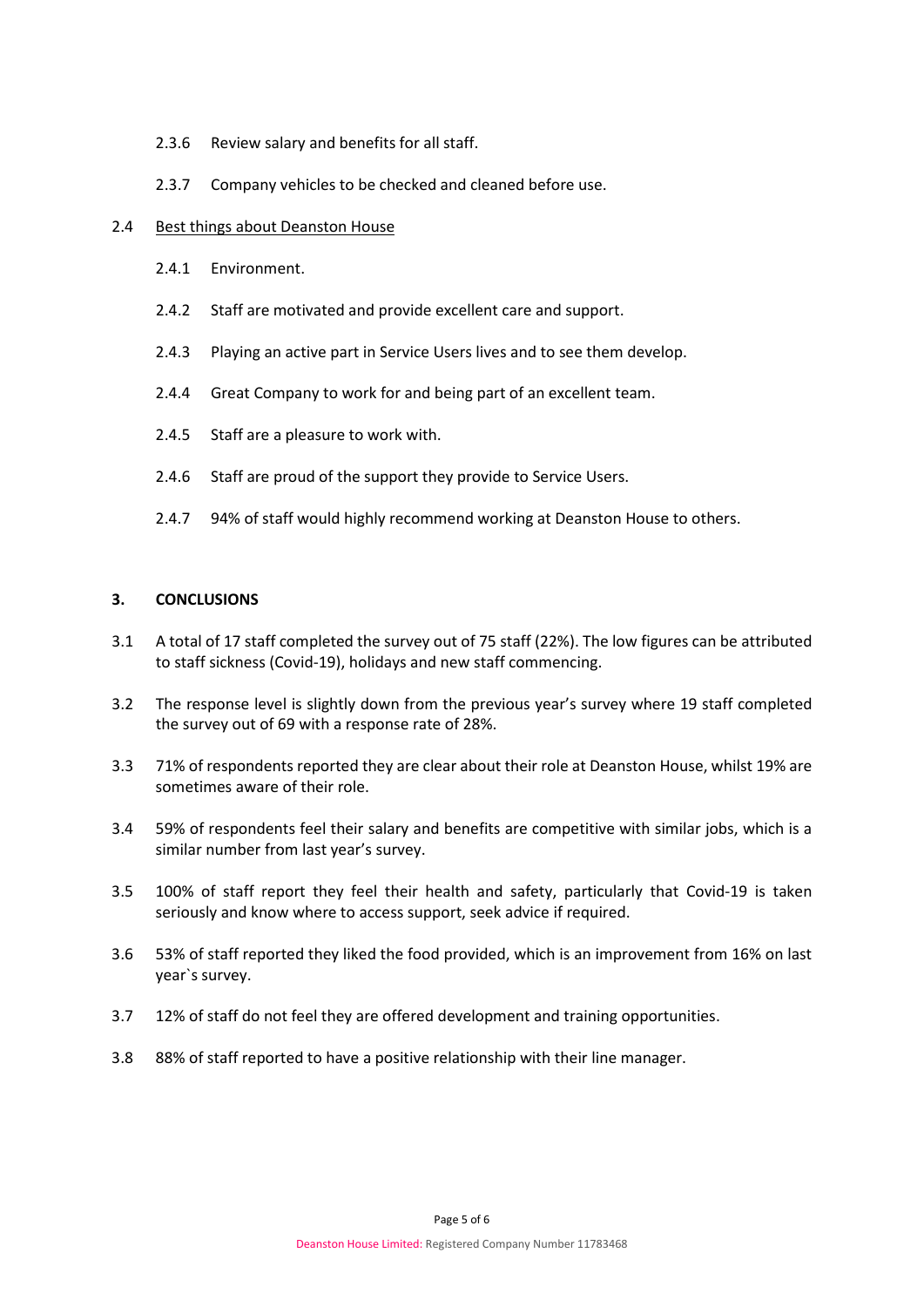- 2.3.6 Review salary and benefits for all staff.
- 2.3.7 Company vehicles to be checked and cleaned before use.

## 2.4 Best things about Deanston House

- 2.4.1 Environment.
- 2.4.2 Staff are motivated and provide excellent care and support.
- 2.4.3 Playing an active part in Service Users lives and to see them develop.
- 2.4.4 Great Company to work for and being part of an excellent team.
- 2.4.5 Staff are a pleasure to work with.
- 2.4.6 Staff are proud of the support they provide to Service Users.
- 2.4.7 94% of staff would highly recommend working at Deanston House to others.

# **3. CONCLUSIONS**

- 3.1 A total of 17 staff completed the survey out of 75 staff (22%). The low figures can be attributed to staff sickness (Covid-19), holidays and new staff commencing.
- 3.2 The response level is slightly down from the previous year's survey where 19 staff completed the survey out of 69 with a response rate of 28%.
- 3.3 71% of respondents reported they are clear about their role at Deanston House, whilst 19% are sometimes aware of their role.
- 3.4 59% of respondents feel their salary and benefits are competitive with similar jobs, which is a similar number from last year's survey.
- 3.5 100% of staff report they feel their health and safety, particularly that Covid-19 is taken seriously and know where to access support, seek advice if required.
- 3.6 53% of staff reported they liked the food provided, which is an improvement from 16% on last year`s survey.
- 3.7 12% of staff do not feel they are offered development and training opportunities.
- 3.8 88% of staff reported to have a positive relationship with their line manager.